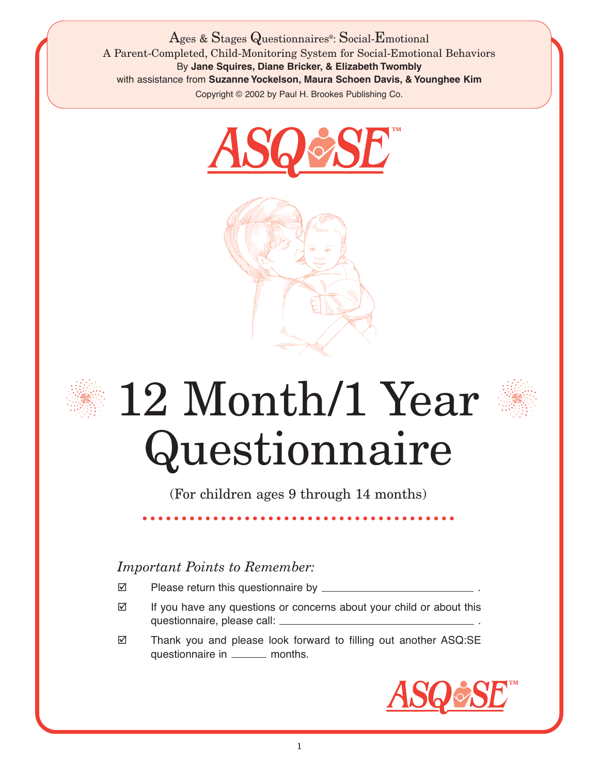Ages & Stages Questionnaires®: Social-Emotional A Parent-Completed, Child-Monitoring System for Social-Emotional Behaviors By **Jane Squires, Diane Bricker, & Elizabeth Twombly** with assistance from **Suzanne Yockelson, Maura Schoen Davis, & Younghee Kim** Copyright © 2002 by Paul H. Brookes Publishing Co.







## 12 Month/1 Year Questionnaire

(For children ages 9 through 14 months)

## *Important Points to Remember:*

- Please return this questionnaire by \_\_\_\_\_\_\_\_\_
- $\boxtimes$  If you have any questions or concerns about your child or about this questionnaire, please call: .
- Thank you and please look forward to filling out another ASQ:SE questionnaire in \_\_\_\_\_\_ months.

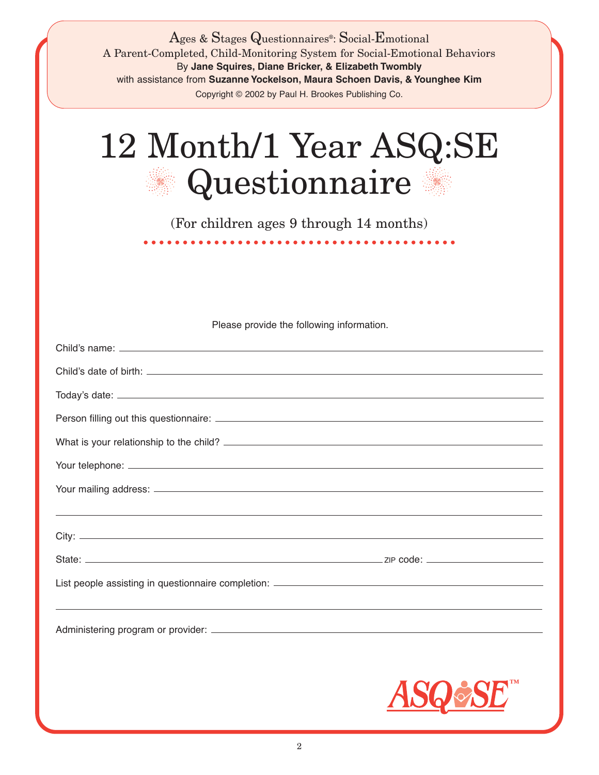| Ages & Stages Questionnaires <sup>®</sup> : Social-Emotional<br>A Parent-Completed, Child-Monitoring System for Social-Emotional Behaviors<br>By Jane Squires, Diane Bricker, & Elizabeth Twombly<br>with assistance from Suzanne Yockelson, Maura Schoen Davis, & Younghee Kim<br>Copyright © 2002 by Paul H. Brookes Publishing Co. |
|---------------------------------------------------------------------------------------------------------------------------------------------------------------------------------------------------------------------------------------------------------------------------------------------------------------------------------------|
| 12 Month/1 Year ASQ:SE<br>Questionnaire                                                                                                                                                                                                                                                                                               |
| (For children ages 9 through 14 months)<br>.                                                                                                                                                                                                                                                                                          |
|                                                                                                                                                                                                                                                                                                                                       |
|                                                                                                                                                                                                                                                                                                                                       |
| Please provide the following information.                                                                                                                                                                                                                                                                                             |
|                                                                                                                                                                                                                                                                                                                                       |
|                                                                                                                                                                                                                                                                                                                                       |
|                                                                                                                                                                                                                                                                                                                                       |
|                                                                                                                                                                                                                                                                                                                                       |
|                                                                                                                                                                                                                                                                                                                                       |
|                                                                                                                                                                                                                                                                                                                                       |
|                                                                                                                                                                                                                                                                                                                                       |
|                                                                                                                                                                                                                                                                                                                                       |
|                                                                                                                                                                                                                                                                                                                                       |
|                                                                                                                                                                                                                                                                                                                                       |
|                                                                                                                                                                                                                                                                                                                                       |
|                                                                                                                                                                                                                                                                                                                                       |
|                                                                                                                                                                                                                                                                                                                                       |
|                                                                                                                                                                                                                                                                                                                                       |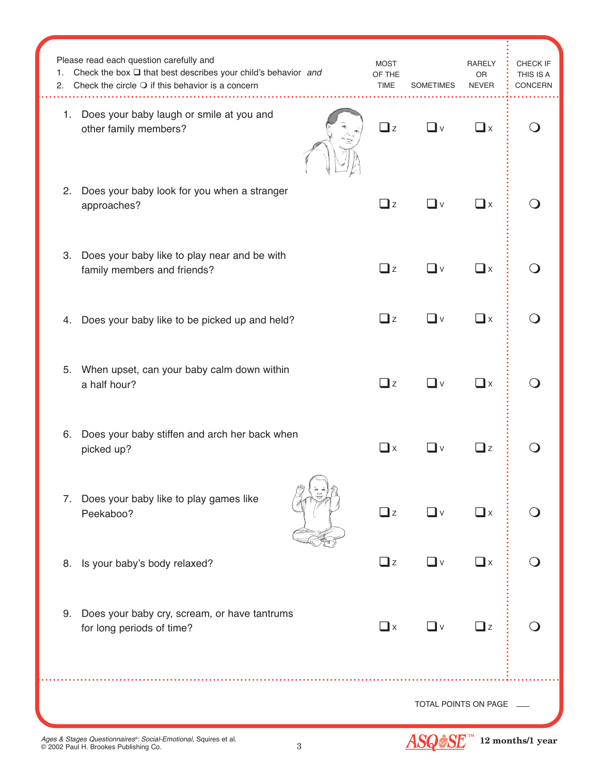| 1.<br>2.             | Please read each question carefully and<br>Check the box $\square$ that best describes your child's behavior and<br>Check the circle $\bigcirc$ if this behavior is a concern | <b>MOST</b><br>OF THE<br><b>TIME</b> | <b>SOMETIMES</b> | RARELY<br>OR<br><b>NEVER</b> | CHECK IF<br>THIS IS A<br><b>CONCERN</b> |
|----------------------|-------------------------------------------------------------------------------------------------------------------------------------------------------------------------------|--------------------------------------|------------------|------------------------------|-----------------------------------------|
| 1.                   | Does your baby laugh or smile at you and<br>other family members?                                                                                                             | $\Box$ z                             | _l v             | $\square$ x                  |                                         |
| 2.                   | Does your baby look for you when a stranger<br>approaches?                                                                                                                    | $\square$ z                          | $\mathsf{l}$ v   | $\Box$ x                     |                                         |
| 3.                   | Does your baby like to play near and be with<br>family members and friends?                                                                                                   | $\Box$ z                             | _l ∨             | $\square$ x                  |                                         |
| 4.                   | Does your baby like to be picked up and held?                                                                                                                                 | $\Box$ z                             | ◘∨               | $\square$ x                  |                                         |
|                      | 5. When upset, can your baby calm down within<br>a half hour?                                                                                                                 | $\Box$ z                             | $\mathsf{l}$ v   | $\Box$ x                     |                                         |
| 6.                   | Does your baby stiffen and arch her back when<br>picked up?                                                                                                                   | $\Box$ x                             | _l v             | $\Box$ z                     |                                         |
| 7.                   | Does your baby like to play games like<br>Peekaboo?                                                                                                                           | $\Box$ z                             | $\Box$ v         | $\Box$ x                     |                                         |
| 8.                   | Is your baby's body relaxed?                                                                                                                                                  | $\Box$ z                             | ◘∨               | $\Box$ x                     |                                         |
| 9.                   | Does your baby cry, scream, or have tantrums<br>for long periods of time?                                                                                                     | $\Box$ x                             | — I ∨            | $\Box$ z                     |                                         |
| TOTAL POINTS ON PAGE |                                                                                                                                                                               |                                      |                  |                              |                                         |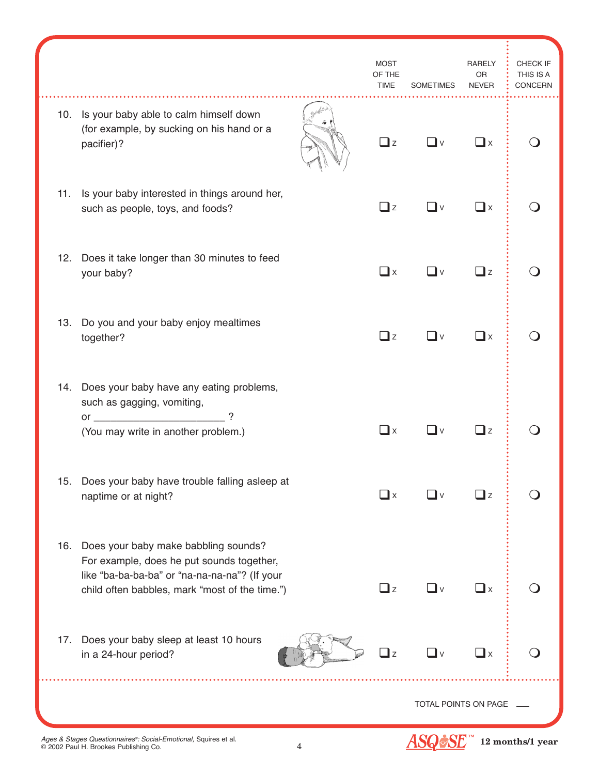|     |                                                                                                                                                                                      |  | <b>MOST</b><br>OF THE<br>TIME | <b>SOMETIMES</b>               | <b>RARELY</b><br><b>OR</b><br><b>NEVER</b> | CHECK IF<br>THIS IS A<br>CONCERN |
|-----|--------------------------------------------------------------------------------------------------------------------------------------------------------------------------------------|--|-------------------------------|--------------------------------|--------------------------------------------|----------------------------------|
| 10. | Is your baby able to calm himself down<br>(for example, by sucking on his hand or a<br>pacifier)?                                                                                    |  | $\Box$ z                      | ∐ ∨                            | $\square$ x                                |                                  |
| 11. | Is your baby interested in things around her,<br>such as people, toys, and foods?                                                                                                    |  | $\Box$ z                      | <b>∟</b> ∨                     | $\square$ x                                |                                  |
| 12. | Does it take longer than 30 minutes to feed<br>your baby?                                                                                                                            |  | $\Box$ x                      | $\Box$ v                       | $\Box$ z                                   |                                  |
| 13. | Do you and your baby enjoy mealtimes<br>together?                                                                                                                                    |  | $\Box$ z                      | <b>∟</b> ∨                     | $\square$ x                                |                                  |
| 14. | Does your baby have any eating problems,<br>such as gagging, vomiting,<br>or $\qquad$<br>?<br>(You may write in another problem.)                                                    |  | $\mathbf{\perp}$ x            | $\vee$                         | $\Box$ z                                   |                                  |
| 15. | Does your baby have trouble falling asleep at<br>naptime or at night?                                                                                                                |  | $\Box$ x                      | V                              | $\Box$ z                                   |                                  |
| 16. | Does your baby make babbling sounds?<br>For example, does he put sounds together,<br>like "ba-ba-ba-ba" or "na-na-na-na"? (If your<br>child often babbles, mark "most of the time.") |  | $\Box$ z                      | <b>U</b> ∨                     | $\square$ x                                |                                  |
| 17. | Does your baby sleep at least 10 hours<br>in a 24-hour period?                                                                                                                       |  | l z                           | $\mathbf{\mathbf{\mathsf{u}}}$ | $\square$ x                                |                                  |
|     | TOTAL POINTS ON PAGE                                                                                                                                                                 |  |                               |                                |                                            |                                  |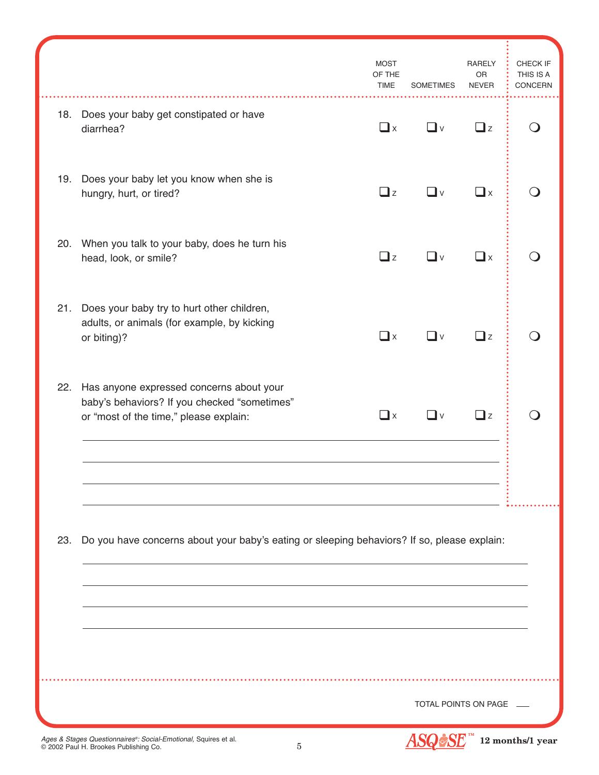|     |                                                                                                                                    | <b>MOST</b><br>OF THE<br><b>TIME</b> | <b>SOMETIMES</b>     | <b>RARELY</b><br>OR<br><b>NEVER</b> | CHECK IF<br>THIS IS A<br>CONCERN |
|-----|------------------------------------------------------------------------------------------------------------------------------------|--------------------------------------|----------------------|-------------------------------------|----------------------------------|
| 18. | Does your baby get constipated or have<br>diarrhea?                                                                                | $\Box$ x                             | —l ∨                 | $\Box$ z                            |                                  |
| 19. | Does your baby let you know when she is<br>hungry, hurt, or tired?                                                                 | $\Box$ z                             | _l ∨                 | $\square$ x                         |                                  |
| 20. | When you talk to your baby, does he turn his<br>head, look, or smile?                                                              | $\Box$ z                             | ∐ ∨                  | $\square$ x                         |                                  |
| 21. | Does your baby try to hurt other children,<br>adults, or animals (for example, by kicking<br>or biting)?                           | $\Box$ x                             | $\Box$ v             | $\Box$ z                            |                                  |
| 22. | Has anyone expressed concerns about your<br>baby's behaviors? If you checked "sometimes"<br>or "most of the time," please explain: | $\square$ x                          | –l ∨                 | $\exists$ z                         |                                  |
|     |                                                                                                                                    |                                      |                      |                                     |                                  |
| 23. | Do you have concerns about your baby's eating or sleeping behaviors? If so, please explain:                                        |                                      |                      |                                     |                                  |
|     |                                                                                                                                    |                                      |                      |                                     |                                  |
|     |                                                                                                                                    |                                      | TOTAL POINTS ON PAGE |                                     |                                  |
|     | Ages & Stages Questionnaires®: Social-Emotional, Squires et al.<br>$\overline{5}$<br>© 2002 Paul H. Brookes Publishing Co.         |                                      |                      |                                     | 12 months/1 year                 |